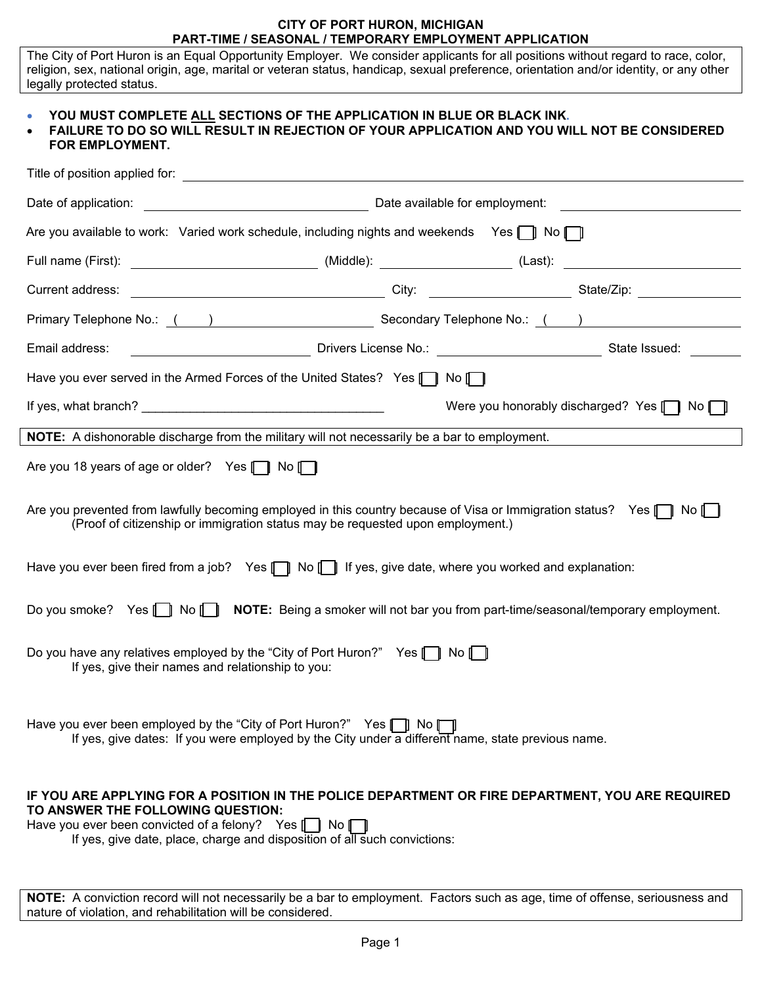#### **CITY OF PORT HURON, MICHIGAN PART-TIME / SEASONAL / TEMPORARY EMPLOYMENT APPLICATION**

The City of Port Huron is an Equal Opportunity Employer. We consider applicants for all positions without regard to race, color, religion, sex, national origin, age, marital or veteran status, handicap, sexual preference, orientation and/or identity, or any other legally protected status.

## • **YOU MUST COMPLETE ALL SECTIONS OF THE APPLICATION IN BLUE OR BLACK INK.**

| • FAILURE TO DO SO WILL RESULT IN REJECTION OF YOUR APPLICATION AND YOU WILL NOT BE CONSIDERED |
|------------------------------------------------------------------------------------------------|
| <b>FOR EMPLOYMENT.</b>                                                                         |

| Are you available to work: Varied work schedule, including nights and weekends Yes   $\parallel$ No $\parallel$                                                                                                                                                               |  |                                                     |
|-------------------------------------------------------------------------------------------------------------------------------------------------------------------------------------------------------------------------------------------------------------------------------|--|-----------------------------------------------------|
|                                                                                                                                                                                                                                                                               |  |                                                     |
|                                                                                                                                                                                                                                                                               |  |                                                     |
|                                                                                                                                                                                                                                                                               |  |                                                     |
| Drivers License No.: 2008 2009 2014 1991 State Issued: 2014<br>Email address:                                                                                                                                                                                                 |  |                                                     |
| Have you ever served in the Armed Forces of the United States? Yes $\begin{bmatrix} \blacksquare \end{bmatrix}$ No $\begin{bmatrix} \blacksquare \end{bmatrix}$                                                                                                               |  |                                                     |
|                                                                                                                                                                                                                                                                               |  | Were you honorably discharged? Yes $\Box$ No $\Box$ |
| NOTE: A dishonorable discharge from the military will not necessarily be a bar to employment.                                                                                                                                                                                 |  |                                                     |
| Are you 18 years of age or older? Yes [ No [                                                                                                                                                                                                                                  |  |                                                     |
| Are you prevented from lawfully becoming employed in this country because of Visa or Immigration status? Yes [1] No<br>(Proof of citizenship or immigration status may be requested upon employment.)                                                                         |  |                                                     |
| Have you ever been fired from a job? Yes $\Box$ No $\Box$ If yes, give date, where you worked and explanation:                                                                                                                                                                |  |                                                     |
| Do you smoke? Yes [   No [   NOTE: Being a smoker will not bar you from part-time/seasonal/temporary employment.                                                                                                                                                              |  |                                                     |
| Do you have any relatives employed by the "City of Port Huron?" Yes $\Box$ No $\Box$<br>If yes, give their names and relationship to you:                                                                                                                                     |  |                                                     |
| Have you ever been employed by the "City of Port Huron?" Yes [ ] No<br>If yes, give dates: If you were employed by the City under a different name, state previous name.                                                                                                      |  |                                                     |
| IF YOU ARE APPLYING FOR A POSITION IN THE POLICE DEPARTMENT OR FIRE DEPARTMENT, YOU ARE REQUIRED<br>TO ANSWER THE FOLLOWING QUESTION:<br>Have you ever been convicted of a felony? Yes [ No I No<br>If yes, give date, place, charge and disposition of all such convictions: |  |                                                     |

**NOTE:** A conviction record will not necessarily be a bar to employment. Factors such as age, time of offense, seriousness and nature of violation, and rehabilitation will be considered.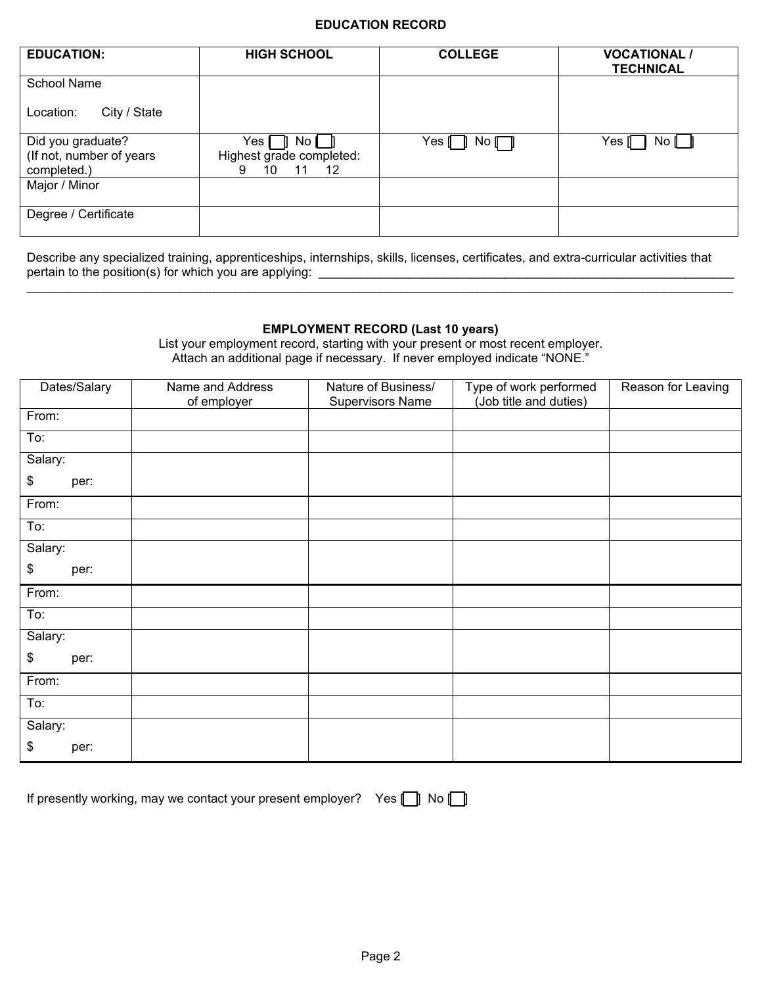### **EDUCATION RECORD**

| <b>EDUCATION:</b>                                            | <b>HIGH SCHOOL</b>                                                 | <b>COLLEGE</b> | <b>VOCATIONAL /</b><br><b>TECHNICAL</b> |
|--------------------------------------------------------------|--------------------------------------------------------------------|----------------|-----------------------------------------|
| <b>School Name</b>                                           |                                                                    |                |                                         |
| City / State<br>Location:                                    |                                                                    |                |                                         |
| Did you graduate?<br>(If not, number of years<br>completed.) | Yes I<br>No I<br>Highest grade completed:<br>$11 \t 12$<br>10<br>9 | Yes ∥ ∥<br>No  | Yes [<br>No II                          |
| Major / Minor                                                |                                                                    |                |                                         |
| Degree / Certificate                                         |                                                                    |                |                                         |

Describe any specialized training, apprenticeships, internships, skills, licenses, certificates, and extra-curricular activities that pertain to the position(s) for which you are applying: \_\_\_\_\_\_\_\_\_\_\_\_\_\_\_\_\_\_\_\_\_\_\_\_\_\_\_\_\_\_\_\_\_\_\_\_\_\_\_\_\_\_\_\_\_\_\_\_\_\_\_\_\_\_\_\_\_\_\_\_

# **EMPLOYMENT RECORD (Last 10 years)**

\_\_\_\_\_\_\_\_\_\_\_\_\_\_\_\_\_\_\_\_\_\_\_\_\_\_\_\_\_\_\_\_\_\_\_\_\_\_\_\_\_\_\_\_\_\_\_\_\_\_\_\_\_\_\_\_\_\_\_\_\_\_\_\_\_\_\_\_\_\_\_\_\_\_\_\_\_\_\_\_\_\_\_\_\_\_\_\_\_\_\_\_\_\_\_\_\_\_\_\_\_\_

List your employment record, starting with your present or most recent employer. Attach an additional page if necessary. If never employed indicate "NONE."

| Dates/Salary | Name and Address<br>of employer | Nature of Business/<br><b>Supervisors Name</b> | Type of work performed<br>(Job title and duties) | Reason for Leaving |
|--------------|---------------------------------|------------------------------------------------|--------------------------------------------------|--------------------|
| From:        |                                 |                                                |                                                  |                    |
| To:          |                                 |                                                |                                                  |                    |
| Salary:      |                                 |                                                |                                                  |                    |
| \$<br>per:   |                                 |                                                |                                                  |                    |
| From:        |                                 |                                                |                                                  |                    |
| To:          |                                 |                                                |                                                  |                    |
| Salary:      |                                 |                                                |                                                  |                    |
| \$<br>per:   |                                 |                                                |                                                  |                    |
| From:        |                                 |                                                |                                                  |                    |
| To:          |                                 |                                                |                                                  |                    |
| Salary:      |                                 |                                                |                                                  |                    |
| \$<br>per:   |                                 |                                                |                                                  |                    |
| From:        |                                 |                                                |                                                  |                    |
| To:          |                                 |                                                |                                                  |                    |
| Salary:      |                                 |                                                |                                                  |                    |
| \$<br>per:   |                                 |                                                |                                                  |                    |

| If presently working, may we contact your present employer? Yes [ ] No [ |
|--------------------------------------------------------------------------|
|--------------------------------------------------------------------------|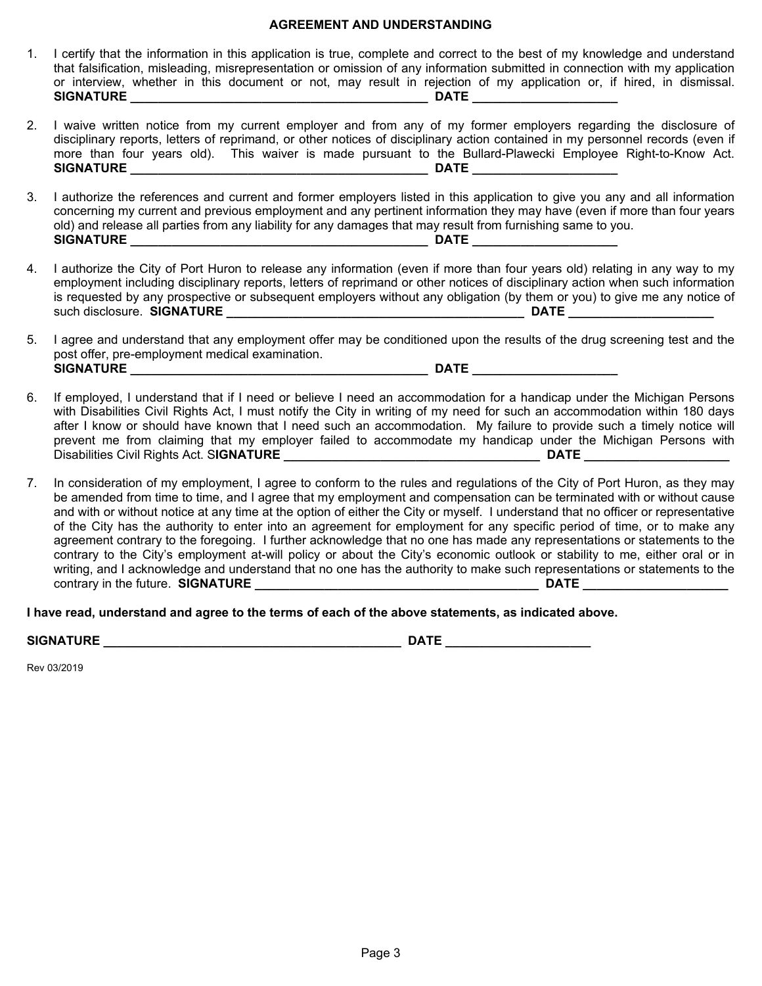#### **AGREEMENT AND UNDERSTANDING**

- 1. I certify that the information in this application is true, complete and correct to the best of my knowledge and understand that falsification, misleading, misrepresentation or omission of any information submitted in connection with my application or interview, whether in this document or not, may result in rejection of my application or, if hired, in dismissal. **SIGNATURE \_\_\_\_\_\_\_\_\_\_\_\_\_\_\_\_\_\_\_\_\_\_\_\_\_\_\_\_\_\_\_\_\_\_\_\_\_\_\_\_\_\_\_ DATE \_\_\_\_\_\_\_\_\_\_\_\_\_\_\_\_\_\_\_\_\_**
- 2. I waive written notice from my current employer and from any of my former employers regarding the disclosure of disciplinary reports, letters of reprimand, or other notices of disciplinary action contained in my personnel records (even if more than four years old). This waiver is made pursuant to the Bullard-Plawecki Employee Right-to-Know Act. **SIGNATURE \_\_\_\_\_\_\_\_\_\_\_\_\_\_\_\_\_\_\_\_\_\_\_\_\_\_\_\_\_\_\_\_\_\_\_\_\_\_\_\_\_\_\_ DATE \_\_\_\_\_\_\_\_\_\_\_\_\_\_\_\_\_\_\_\_\_**
- 3. I authorize the references and current and former employers listed in this application to give you any and all information concerning my current and previous employment and any pertinent information they may have (even if more than four years old) and release all parties from any liability for any damages that may result from furnishing same to you. **SIGNATURE \_\_\_\_\_\_\_\_\_\_\_\_\_\_\_\_\_\_\_\_\_\_\_\_\_\_\_\_\_\_\_\_\_\_\_\_\_\_\_\_\_\_\_ DATE \_\_\_\_\_\_\_\_\_\_\_\_\_\_\_\_\_\_\_\_\_**
- 4. I authorize the City of Port Huron to release any information (even if more than four years old) relating in any way to my employment including disciplinary reports, letters of reprimand or other notices of disciplinary action when such information is requested by any prospective or subsequent employers without any obligation (by them or you) to give me any notice of such disclosure. **SIGNATURE \_\_\_\_\_\_\_\_\_\_\_\_\_\_\_\_\_\_\_\_\_\_\_\_\_\_\_\_\_\_\_\_\_\_\_\_\_\_\_\_\_\_\_ DATE \_\_\_\_\_\_\_\_\_\_\_\_\_\_\_\_\_\_\_\_\_**
- 5. I agree and understand that any employment offer may be conditioned upon the results of the drug screening test and the post offer, pre-employment medical examination. **SIGNATURE \_\_\_\_\_\_\_\_\_\_\_\_\_\_\_\_\_\_\_\_\_\_\_\_\_\_\_\_\_\_\_\_\_\_\_\_\_\_\_\_\_\_\_ DATE \_\_\_\_\_\_\_\_\_\_\_\_\_\_\_\_\_\_\_\_\_**
- 6. If employed, I understand that if I need or believe I need an accommodation for a handicap under the Michigan Persons with Disabilities Civil Rights Act, I must notify the City in writing of my need for such an accommodation within 180 days after I know or should have known that I need such an accommodation. My failure to provide such a timely notice will prevent me from claiming that my employer failed to accommodate my handicap under the Michigan Persons with Disabilities Civil Rights Act. S**IGNATURE \_\_\_\_\_\_\_\_\_\_\_\_\_\_\_\_\_\_\_\_\_\_\_\_\_\_\_\_\_\_\_\_\_\_\_\_\_ DATE \_\_\_\_\_\_\_\_\_\_\_\_\_\_\_\_\_\_\_\_\_**
- 7. In consideration of my employment, I agree to conform to the rules and regulations of the City of Port Huron, as they may be amended from time to time, and I agree that my employment and compensation can be terminated with or without cause and with or without notice at any time at the option of either the City or myself. I understand that no officer or representative of the City has the authority to enter into an agreement for employment for any specific period of time, or to make any agreement contrary to the foregoing. I further acknowledge that no one has made any representations or statements to the contrary to the City's employment at-will policy or about the City's economic outlook or stability to me, either oral or in writing, and I acknowledge and understand that no one has the authority to make such representations or statements to the contrary in the future. **SIGNATURE \_\_\_\_\_\_\_\_\_\_\_\_\_\_\_\_\_\_\_\_\_\_\_\_\_\_\_\_\_\_\_\_\_\_\_\_\_\_\_\_\_ DATE \_\_\_\_\_\_\_\_\_\_\_\_\_\_\_\_\_\_\_\_\_**

**I have read, understand and agree to the terms of each of the above statements, as indicated above.**

**SIGNATURE \_\_\_\_\_\_\_\_\_\_\_\_\_\_\_\_\_\_\_\_\_\_\_\_\_\_\_\_\_\_\_\_\_\_\_\_\_\_\_\_\_\_\_ DATE \_\_\_\_\_\_\_\_\_\_\_\_\_\_\_\_\_\_\_\_\_**

Rev 03/2019